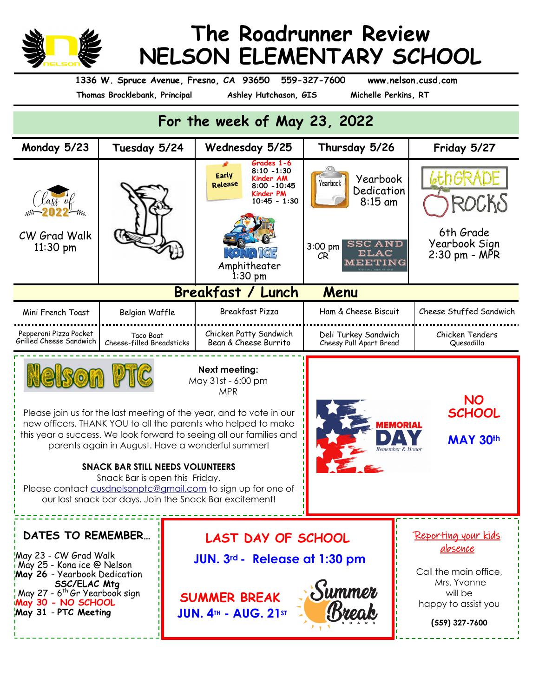

## **The Roadrunner Review NELSON ELEMENTARY SCHOOL**

**1336 W. Spruce Avenue, Fresno, CA 93650 559-327-7600 www.nelson.cusd.com**

**Thomas Brocklebank, Principal** 

## **For the week of May 23, 2022**